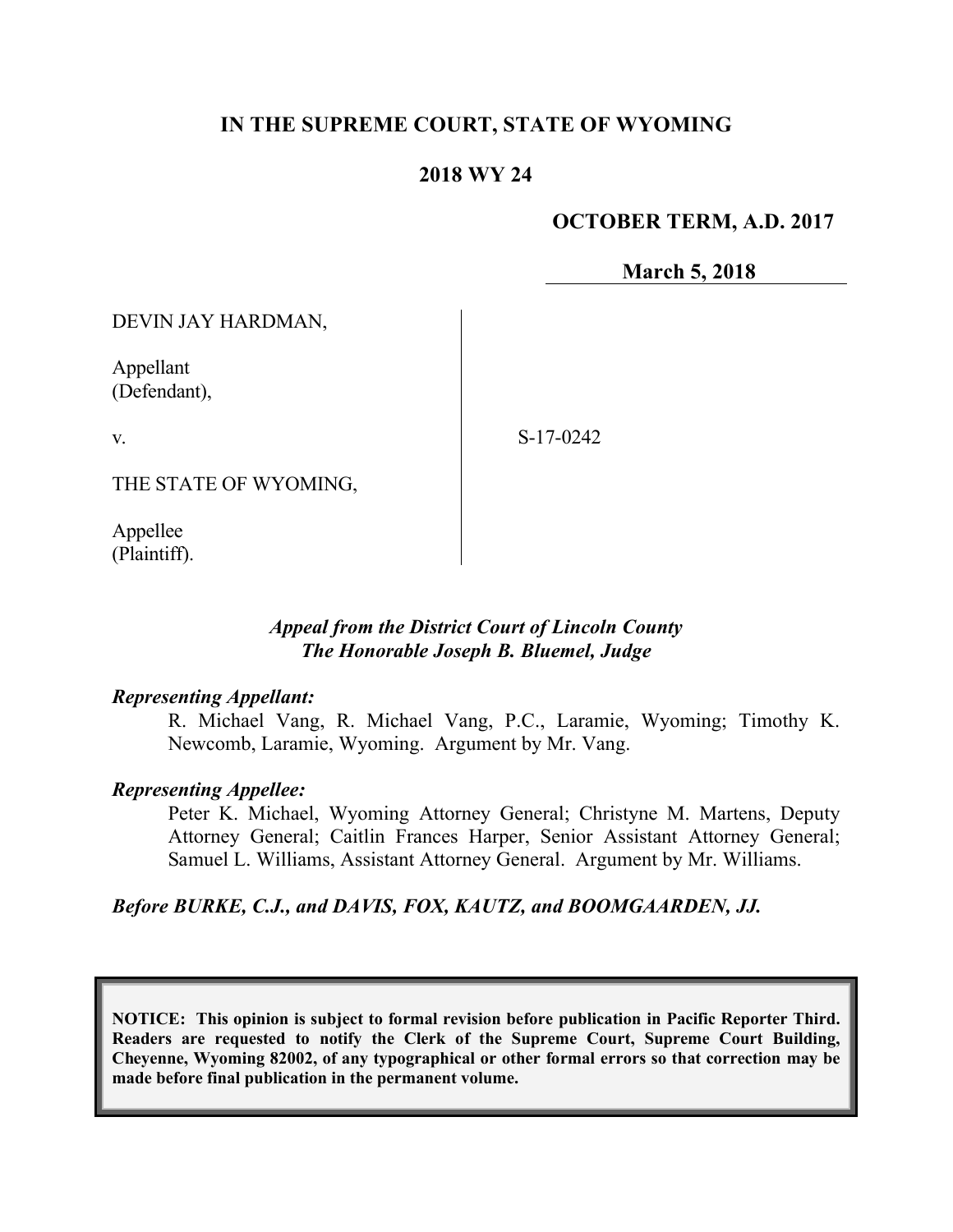# **IN THE SUPREME COURT, STATE OF WYOMING**

## **2018 WY 24**

### **OCTOBER TERM, A.D. 2017**

**March 5, 2018**

DEVIN JAY HARDMAN,

Appellant (Defendant),

v.

S-17-0242

THE STATE OF WYOMING,

Appellee (Plaintiff).

## *Appeal from the District Court of Lincoln County The Honorable Joseph B. Bluemel, Judge*

#### *Representing Appellant:*

R. Michael Vang, R. Michael Vang, P.C., Laramie, Wyoming; Timothy K. Newcomb, Laramie, Wyoming. Argument by Mr. Vang.

#### *Representing Appellee:*

Peter K. Michael, Wyoming Attorney General; Christyne M. Martens, Deputy Attorney General; Caitlin Frances Harper, Senior Assistant Attorney General; Samuel L. Williams, Assistant Attorney General. Argument by Mr. Williams.

### *Before BURKE, C.J., and DAVIS, FOX, KAUTZ, and BOOMGAARDEN, JJ.*

**NOTICE: This opinion is subject to formal revision before publication in Pacific Reporter Third. Readers are requested to notify the Clerk of the Supreme Court, Supreme Court Building, Cheyenne, Wyoming 82002, of any typographical or other formal errors so that correction may be made before final publication in the permanent volume.**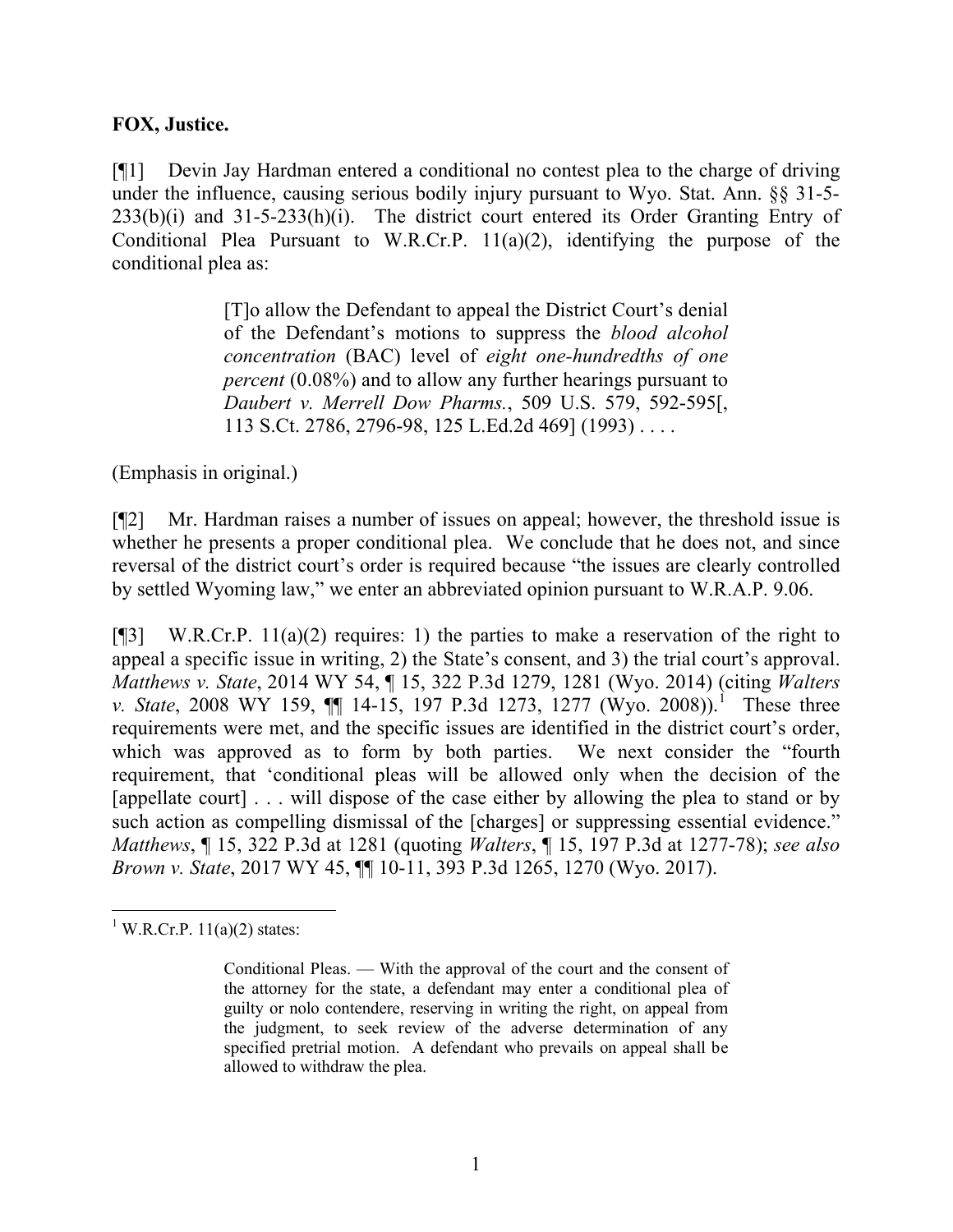### **FOX, Justice.**

[¶1] Devin Jay Hardman entered a conditional no contest plea to the charge of driving under the influence, causing serious bodily injury pursuant to Wyo. Stat. Ann. §§ 31-5- 233(b)(i) and 31-5-233(h)(i). The district court entered its Order Granting Entry of Conditional Plea Pursuant to W.R.Cr.P. 11(a)(2), identifying the purpose of the conditional plea as:

> [T]o allow the Defendant to appeal the District Court's denial of the Defendant's motions to suppress the *blood alcohol concentration* (BAC) level of *eight one-hundredths of one percent* (0.08%) and to allow any further hearings pursuant to *Daubert v. Merrell Dow Pharms.*, 509 U.S. 579, 592-595[, 113 S.Ct. 2786, 2796-98, 125 L.Ed.2d 469] (1993) . . . .

(Emphasis in original.)

[¶2] Mr. Hardman raises a number of issues on appeal; however, the threshold issue is whether he presents a proper conditional plea. We conclude that he does not, and since reversal of the district court's order is required because "the issues are clearly controlled by settled Wyoming law," we enter an abbreviated opinion pursuant to W.R.A.P. 9.06.

[ $[$ ] W.R.Cr.P. 11(a)(2) requires: 1) the parties to make a reservation of the right to appeal a specific issue in writing, 2) the State's consent, and 3) the trial court's approval. *Matthews v. State*, 2014 WY 54, ¶ 15, 322 P.3d 1279, 1281 (Wyo. 2014) (citing *Walters v. State*, 2008 WY 159, **[1** 14-15, 197 P.3d 1273, 1277 (Wyo. 2008)).<sup>1</sup> These three requirements were met, and the specific issues are identified in the district court's order, which was approved as to form by both parties. We next consider the "fourth" requirement, that 'conditional pleas will be allowed only when the decision of the [appellate court] . . . will dispose of the case either by allowing the plea to stand or by such action as compelling dismissal of the [charges] or suppressing essential evidence." *Matthews*, ¶ 15, 322 P.3d at 1281 (quoting *Walters*, ¶ 15, 197 P.3d at 1277-78); *see also Brown v. State*, 2017 WY 45, ¶¶ 10-11, 393 P.3d 1265, 1270 (Wyo. 2017).

  $1$  W.R.Cr.P. 11(a)(2) states:

Conditional Pleas. — With the approval of the court and the consent of the attorney for the state, a defendant may enter a conditional plea of guilty or nolo contendere, reserving in writing the right, on appeal from the judgment, to seek review of the adverse determination of any specified pretrial motion. A defendant who prevails on appeal shall be allowed to withdraw the plea.